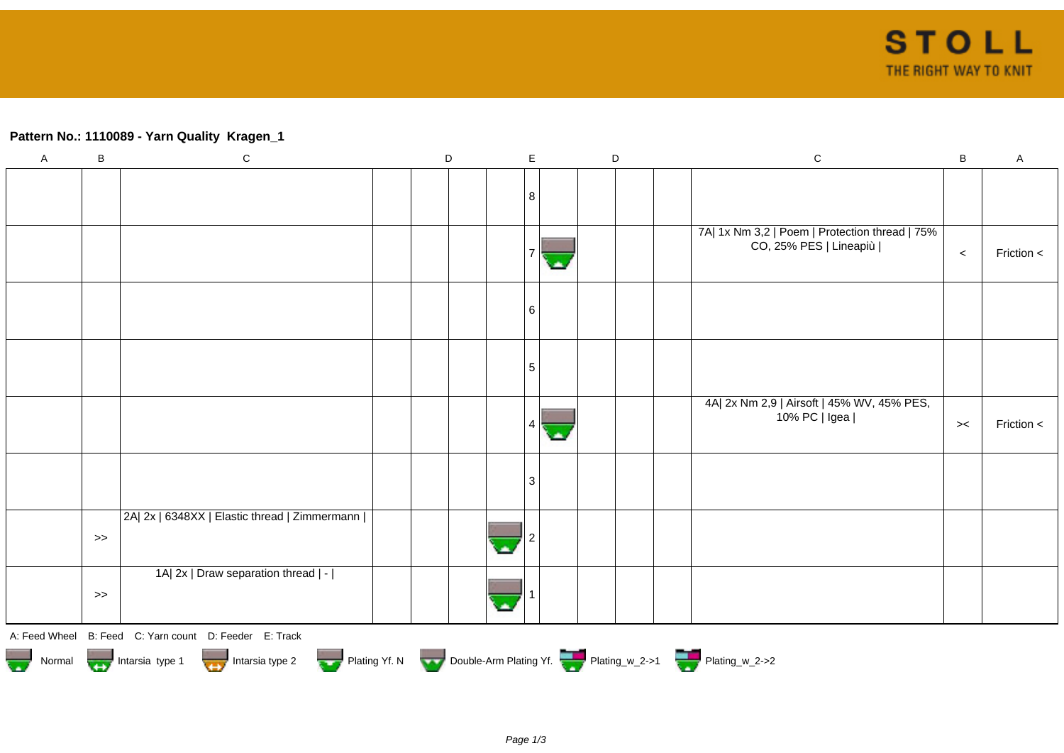## **Pattern No.: 1110089 - Yarn Quality Kragen\_1**

| $\boldsymbol{\mathsf{A}}$ | $\sf B$                                                                                    | $\mathbf C$                                            |  | D |  | $\mathsf E$ |  | $\mathsf D$ |  |  | ${\bf C}$                                      | B       | $\mathsf A$ |
|---------------------------|--------------------------------------------------------------------------------------------|--------------------------------------------------------|--|---|--|-------------|--|-------------|--|--|------------------------------------------------|---------|-------------|
|                           |                                                                                            |                                                        |  |   |  |             |  |             |  |  |                                                |         |             |
|                           |                                                                                            |                                                        |  |   |  | 8           |  |             |  |  |                                                |         |             |
|                           |                                                                                            |                                                        |  |   |  |             |  |             |  |  |                                                |         |             |
|                           |                                                                                            |                                                        |  |   |  |             |  |             |  |  | 7A  1x Nm 3,2   Poem   Protection thread   75% |         |             |
|                           |                                                                                            |                                                        |  |   |  |             |  |             |  |  | CO, 25% PES   Lineapiù                         | $\prec$ | Friction <  |
|                           |                                                                                            |                                                        |  |   |  |             |  |             |  |  |                                                |         |             |
|                           |                                                                                            |                                                        |  |   |  |             |  |             |  |  |                                                |         |             |
|                           |                                                                                            |                                                        |  |   |  | 6           |  |             |  |  |                                                |         |             |
|                           |                                                                                            |                                                        |  |   |  |             |  |             |  |  |                                                |         |             |
|                           |                                                                                            |                                                        |  |   |  |             |  |             |  |  |                                                |         |             |
|                           |                                                                                            |                                                        |  |   |  | 5           |  |             |  |  |                                                |         |             |
|                           |                                                                                            |                                                        |  |   |  |             |  |             |  |  |                                                |         |             |
|                           |                                                                                            |                                                        |  |   |  |             |  |             |  |  | 4A  2x Nm 2,9   Airsoft   45% WV, 45% PES,     |         |             |
|                           |                                                                                            |                                                        |  |   |  | Δ           |  |             |  |  | 10% PC   Igea                                  | $>\lt$  | Friction <  |
|                           |                                                                                            |                                                        |  |   |  |             |  |             |  |  |                                                |         |             |
|                           |                                                                                            |                                                        |  |   |  |             |  |             |  |  |                                                |         |             |
|                           |                                                                                            |                                                        |  |   |  | 3           |  |             |  |  |                                                |         |             |
|                           |                                                                                            |                                                        |  |   |  |             |  |             |  |  |                                                |         |             |
|                           |                                                                                            | 2A  2x   6348XX   Elastic thread   Zimmermann          |  |   |  |             |  |             |  |  |                                                |         |             |
|                           | $>$                                                                                        |                                                        |  |   |  |             |  |             |  |  |                                                |         |             |
|                           |                                                                                            |                                                        |  |   |  |             |  |             |  |  |                                                |         |             |
|                           |                                                                                            | 1A  2x   Draw separation thread   -                    |  |   |  |             |  |             |  |  |                                                |         |             |
|                           | $\gt$                                                                                      |                                                        |  |   |  |             |  |             |  |  |                                                |         |             |
|                           |                                                                                            |                                                        |  |   |  |             |  |             |  |  |                                                |         |             |
|                           |                                                                                            | A: Feed Wheel B: Feed C: Yarn count D: Feeder E: Track |  |   |  |             |  |             |  |  |                                                |         |             |
|                           |                                                                                            |                                                        |  |   |  |             |  |             |  |  |                                                |         |             |
|                           | Normal Intarsia type 1 Intarsia type 2 Plating Yf. N Double-Arm Plating Yf. Thating_w_2->1 |                                                        |  |   |  |             |  |             |  |  |                                                |         |             |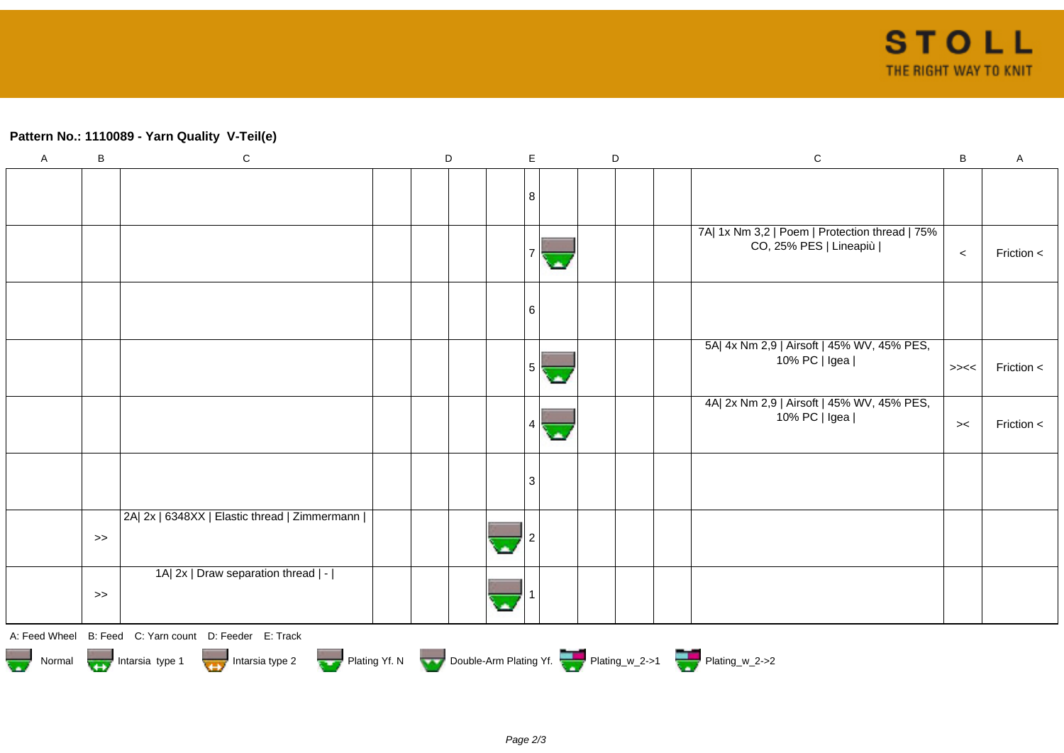## **Pattern No.: 1110089 - Yarn Quality V-Teil(e)**

| $\boldsymbol{\mathsf{A}}$ | $\, {\sf B}$ | ${\bf C}$                                                                | $\mathsf D$ | E                      | $\mathsf D$ |  | $\mathbf C$                                                              | B              | $\boldsymbol{\mathsf{A}}$ |
|---------------------------|--------------|--------------------------------------------------------------------------|-------------|------------------------|-------------|--|--------------------------------------------------------------------------|----------------|---------------------------|
|                           |              |                                                                          |             | 8                      |             |  |                                                                          |                |                           |
|                           |              |                                                                          |             |                        |             |  |                                                                          |                |                           |
|                           |              |                                                                          |             |                        |             |  | 7A  1x Nm 3,2   Poem   Protection thread   75%<br>CO, 25% PES   Lineapiù | $\prec$        | Friction <                |
|                           |              |                                                                          |             | 6                      |             |  |                                                                          |                |                           |
|                           |              |                                                                          |             | 5 <sup>1</sup><br>ملاد |             |  | 5A  4x Nm 2,9   Airsoft   45% WV, 45% PES,<br>10% PC   Igea              | $>\!\!><\!\!<$ | Friction <                |
|                           |              |                                                                          |             | 4                      |             |  | 4A  2x Nm 2,9   Airsoft   45% WV, 45% PES,<br>10% PC   Igea              | $>\,<$         | Friction <                |
|                           |              |                                                                          |             | 3                      |             |  |                                                                          |                |                           |
|                           | $>\!>$       | 2A  2x   6348XX   Elastic thread   Zimmermann                            |             |                        |             |  |                                                                          |                |                           |
|                           | $>\!>$       | 1A  2x   Draw separation thread   -                                      |             |                        |             |  |                                                                          |                |                           |
|                           |              | A: Feed Wheel B: Feed C: Yarn count D: Feeder E: Track                   |             |                        |             |  |                                                                          |                |                           |
|                           |              | Normal <b>Community</b> Intersia type 1 <b>Community</b> Intersia type 2 |             |                        |             |  | Plating Yf. N Double-Arm Plating Yf. Plating_w_2->1 Plating_w_2->2       |                |                           |